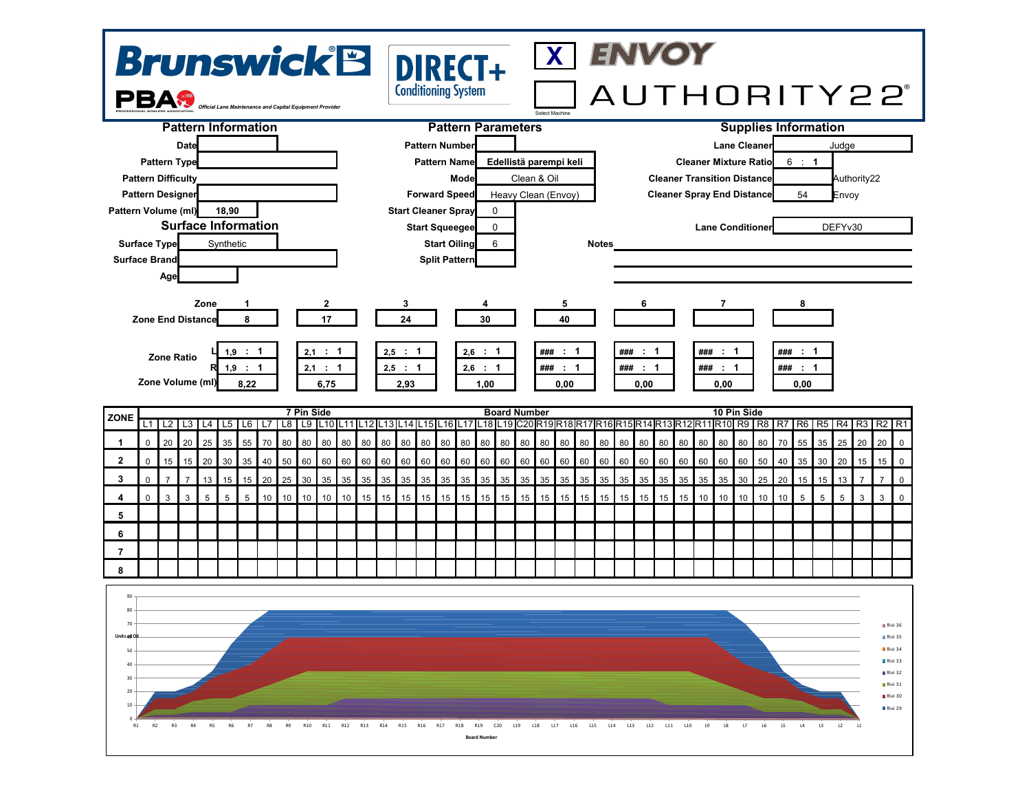



**6 7**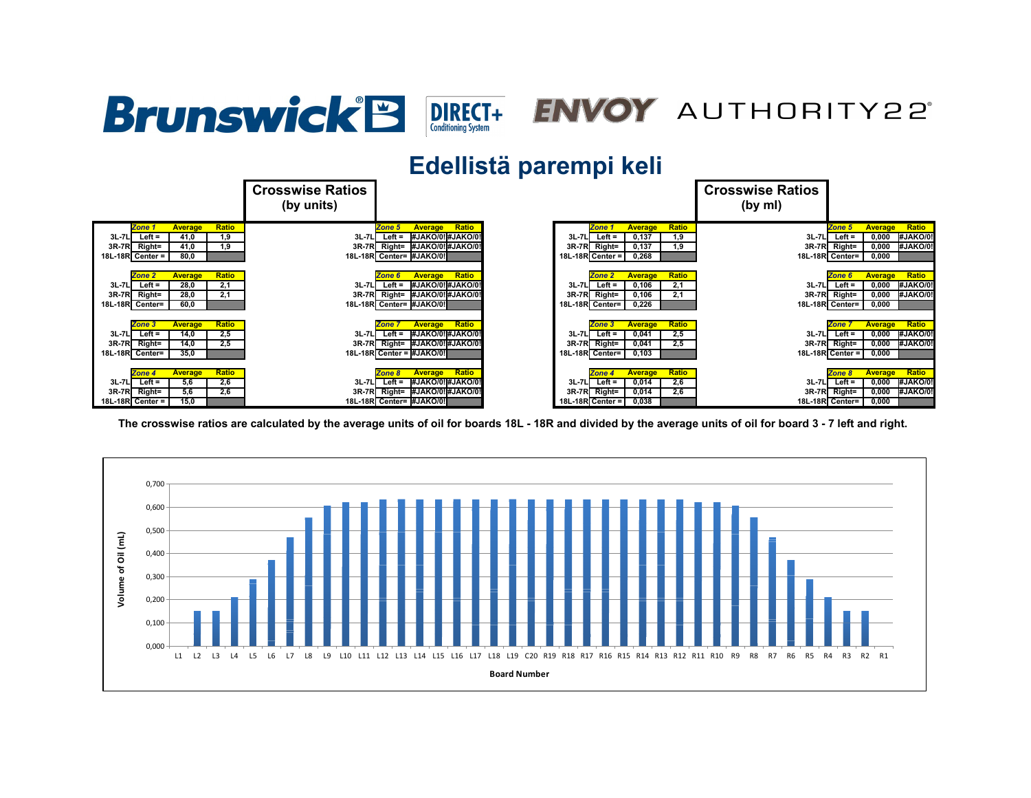## Brunswick<sup>'</sup>B **DIRECT+** ENVOY AUTHORITY22°

## **Edellistä parempi keli**



**The crosswise ratios are calculated by the average units of oil for boards 18L - 18R and divided by the average units of oil for board 3 - 7 left and right.**